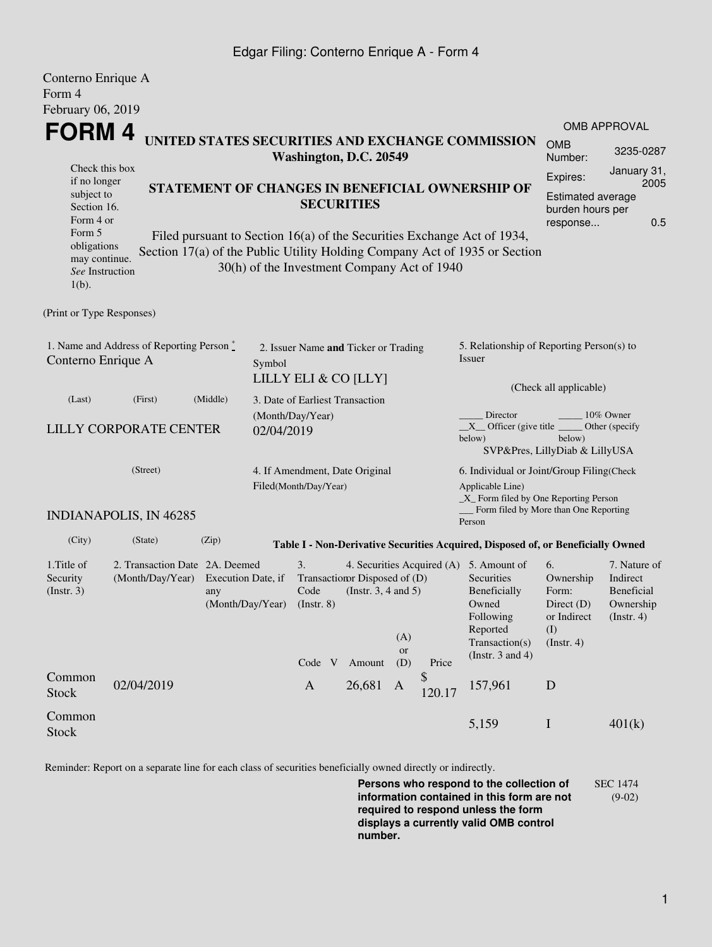## Edgar Filing: Conterno Enrique A - Form 4

| Conterno Enrique A<br>Form 4                                               |                                                    |                                                                                                                                                                                                                         |                                 |                                                              |                                                                                                    |          |                       |                                                                                                                                                   |                                                                               |                                                                    |  |  |
|----------------------------------------------------------------------------|----------------------------------------------------|-------------------------------------------------------------------------------------------------------------------------------------------------------------------------------------------------------------------------|---------------------------------|--------------------------------------------------------------|----------------------------------------------------------------------------------------------------|----------|-----------------------|---------------------------------------------------------------------------------------------------------------------------------------------------|-------------------------------------------------------------------------------|--------------------------------------------------------------------|--|--|
| February 06, 2019                                                          |                                                    |                                                                                                                                                                                                                         |                                 |                                                              |                                                                                                    |          |                       |                                                                                                                                                   |                                                                               |                                                                    |  |  |
| <b>FORM4</b>                                                               |                                                    |                                                                                                                                                                                                                         |                                 |                                                              |                                                                                                    |          |                       |                                                                                                                                                   |                                                                               | <b>OMB APPROVAL</b>                                                |  |  |
| UNITED STATES SECURITIES AND EXCHANGE COMMISSION<br>Washington, D.C. 20549 |                                                    |                                                                                                                                                                                                                         |                                 |                                                              |                                                                                                    |          | <b>OMB</b><br>Number: | 3235-0287                                                                                                                                         |                                                                               |                                                                    |  |  |
| Check this box<br>if no longer<br>subject to<br>Section 16.<br>Form 4 or   |                                                    | STATEMENT OF CHANGES IN BENEFICIAL OWNERSHIP OF<br><b>SECURITIES</b>                                                                                                                                                    |                                 |                                                              |                                                                                                    |          |                       |                                                                                                                                                   |                                                                               |                                                                    |  |  |
| Form 5<br>obligations<br>may continue.<br>See Instruction<br>$1(b)$ .      |                                                    | 0.5<br>response<br>Filed pursuant to Section 16(a) of the Securities Exchange Act of 1934,<br>Section 17(a) of the Public Utility Holding Company Act of 1935 or Section<br>30(h) of the Investment Company Act of 1940 |                                 |                                                              |                                                                                                    |          |                       |                                                                                                                                                   |                                                                               |                                                                    |  |  |
| (Print or Type Responses)                                                  |                                                    |                                                                                                                                                                                                                         |                                 |                                                              |                                                                                                    |          |                       |                                                                                                                                                   |                                                                               |                                                                    |  |  |
| 1. Name and Address of Reporting Person*<br>Conterno Enrique A             |                                                    |                                                                                                                                                                                                                         | Symbol                          | 2. Issuer Name and Ticker or Trading<br>LILLY ELI & CO [LLY] |                                                                                                    |          |                       | 5. Relationship of Reporting Person(s) to<br>Issuer                                                                                               |                                                                               |                                                                    |  |  |
| (Last)                                                                     | (First)                                            | (Middle)                                                                                                                                                                                                                | 3. Date of Earliest Transaction |                                                              |                                                                                                    |          |                       |                                                                                                                                                   | (Check all applicable)                                                        |                                                                    |  |  |
| <b>LILLY CORPORATE CENTER</b>                                              |                                                    |                                                                                                                                                                                                                         | 02/04/2019                      | (Month/Day/Year)                                             |                                                                                                    |          |                       | Director<br>10% Owner<br>$X$ Officer (give title $\overline{\phantom{a}}$<br>Other (specify<br>below)<br>below)<br>SVP&Pres, LillyDiab & LillyUSA |                                                                               |                                                                    |  |  |
| (Street)                                                                   |                                                    |                                                                                                                                                                                                                         |                                 | 4. If Amendment, Date Original<br>Filed(Month/Day/Year)      |                                                                                                    |          |                       | 6. Individual or Joint/Group Filing(Check<br>Applicable Line)<br>_X_ Form filed by One Reporting Person<br>Form filed by More than One Reporting  |                                                                               |                                                                    |  |  |
|                                                                            | <b>INDIANAPOLIS, IN 46285</b>                      |                                                                                                                                                                                                                         |                                 |                                                              |                                                                                                    |          |                       | Person                                                                                                                                            |                                                                               |                                                                    |  |  |
| (City)                                                                     | (State)                                            | (Zip)                                                                                                                                                                                                                   |                                 |                                                              |                                                                                                    |          |                       | Table I - Non-Derivative Securities Acquired, Disposed of, or Beneficially Owned                                                                  |                                                                               |                                                                    |  |  |
| 1. Title of<br>Security<br>(Insert. 3)                                     | 2. Transaction Date 2A. Deemed<br>(Month/Day/Year) | Execution Date, if<br>any<br>(Month/Day/Year)                                                                                                                                                                           |                                 | 3.<br>Code<br>$($ Instr. $8)$                                | 4. Securities Acquired (A)<br>Transaction Disposed of (D)<br>(Instr. $3, 4$ and $5$ )<br>(A)<br>or |          |                       | 5. Amount of<br>Securities<br>Beneficially<br>Owned<br>Following<br>Reported<br>Transaction(s)                                                    | 6.<br>Ownership<br>Form:<br>Direct $(D)$<br>or Indirect<br>(I)<br>(Insert. 4) | 7. Nature of<br>Indirect<br>Beneficial<br>Ownership<br>(Insert. 4) |  |  |
| Common                                                                     | 02/04/2019                                         |                                                                                                                                                                                                                         |                                 | Code V<br>$\mathbf{A}$                                       | Amount<br>26,681                                                                                   | (D)<br>A | Price<br>\$           | (Instr. $3$ and $4$ )<br>157,961                                                                                                                  | D                                                                             |                                                                    |  |  |
| <b>Stock</b>                                                               |                                                    |                                                                                                                                                                                                                         |                                 |                                                              |                                                                                                    |          | 120.17                |                                                                                                                                                   |                                                                               |                                                                    |  |  |
| Common<br><b>Stock</b>                                                     |                                                    |                                                                                                                                                                                                                         |                                 |                                                              |                                                                                                    |          |                       | 5,159                                                                                                                                             | $\bf I$                                                                       | 401(k)                                                             |  |  |

Reminder: Report on a separate line for each class of securities beneficially owned directly or indirectly.

**Persons who respond to the collection of information contained in this form are not required to respond unless the form displays a currently valid OMB control number.** SEC 1474 (9-02)